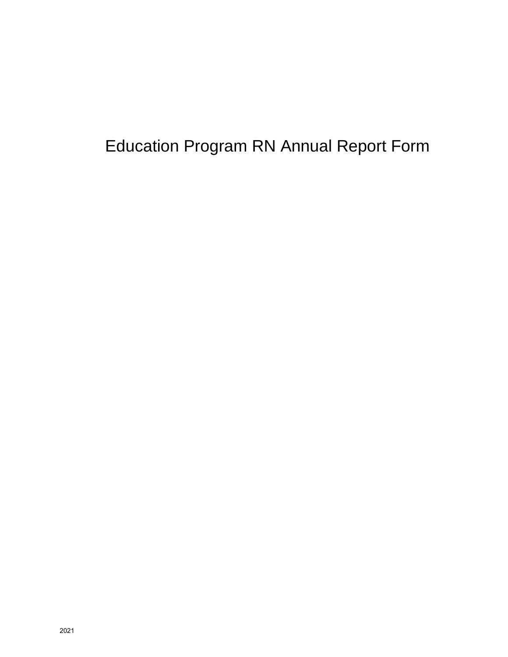# Education Program RN Annual Report Form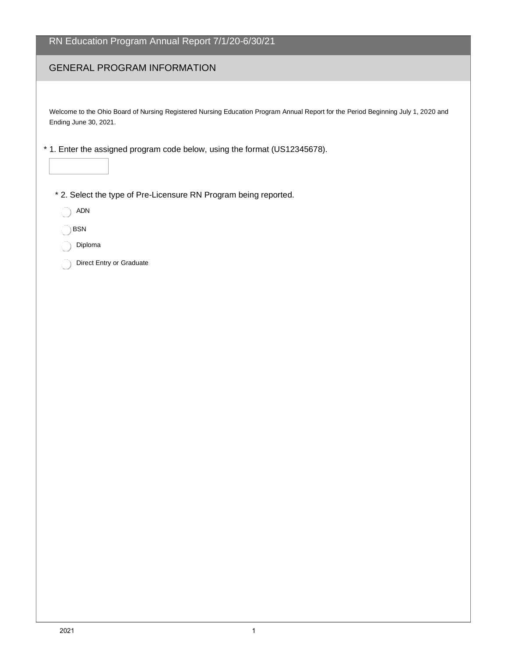| RN Education Program Annual Report 7/1/20-6/30/21                                                                                                          |
|------------------------------------------------------------------------------------------------------------------------------------------------------------|
| <b>GENERAL PROGRAM INFORMATION</b>                                                                                                                         |
|                                                                                                                                                            |
| Welcome to the Ohio Board of Nursing Registered Nursing Education Program Annual Report for the Period Beginning July 1, 2020 and<br>Ending June 30, 2021. |
| * 1. Enter the assigned program code below, using the format (US12345678).                                                                                 |
| * 2. Select the type of Pre-Licensure RN Program being reported.                                                                                           |
| <b>ADN</b>                                                                                                                                                 |
| BSN                                                                                                                                                        |
| Diploma<br>Direct Entry or Graduate                                                                                                                        |
|                                                                                                                                                            |
|                                                                                                                                                            |
|                                                                                                                                                            |
|                                                                                                                                                            |
|                                                                                                                                                            |
|                                                                                                                                                            |
|                                                                                                                                                            |
|                                                                                                                                                            |
|                                                                                                                                                            |
|                                                                                                                                                            |
|                                                                                                                                                            |
|                                                                                                                                                            |
|                                                                                                                                                            |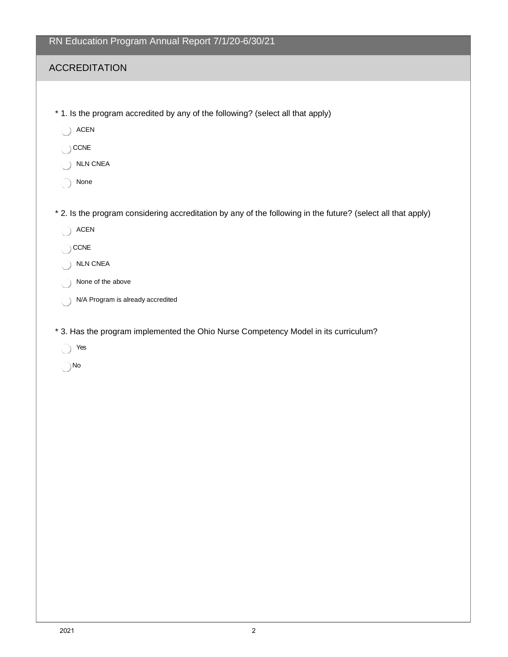| RN Education Program Annual Report 7/1/20-6/30/21 |  |  |  |
|---------------------------------------------------|--|--|--|
|                                                   |  |  |  |

- \* 1. Is the program accredited by any of the following? (select all that apply)
	- ACEN
	- $\bigcirc$  CCNE
	- NLN CNEA
	- None
- \* 2. Is the program considering accreditation by any of the following in the future? (select all that apply)
	- ACEN
	- $\bigcirc$  CCNE
	- NLN CNEA
	- None of the above
	- N/A Program is already accredited
- \* 3. Has the program implemented the Ohio Nurse Competency Model in its curriculum?
	- Yes
	- No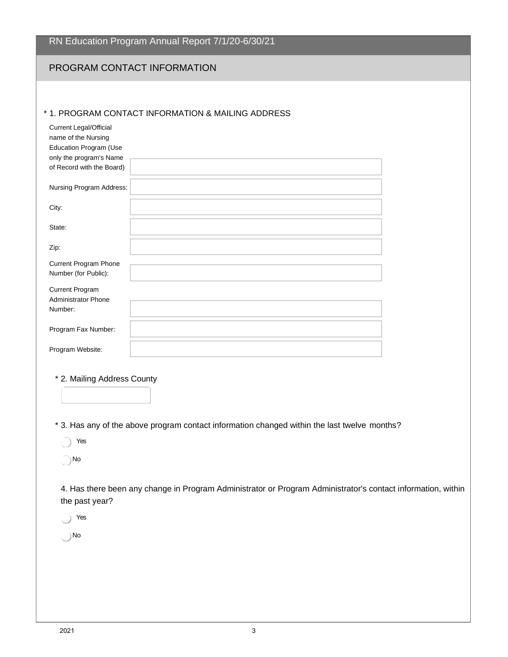#### PROGRAM CONTACT INFORMATION

#### \* 1. PROGRAM CONTACT INFORMATION & MAILING ADDRESS

| <b>Current Legal/Official</b><br>name of the Nursing<br>Education Program (Use<br>only the program's Name |  |
|-----------------------------------------------------------------------------------------------------------|--|
| of Record with the Board)                                                                                 |  |
| Nursing Program Address:                                                                                  |  |
| City:                                                                                                     |  |
| State:                                                                                                    |  |
| Zip:                                                                                                      |  |
| <b>Current Program Phone</b>                                                                              |  |
| Number (for Public):                                                                                      |  |
| <b>Current Program</b><br><b>Administrator Phone</b>                                                      |  |
| Number:                                                                                                   |  |
| Program Fax Number:                                                                                       |  |
| Program Website:                                                                                          |  |

- \* 2. Mailing Address County
- \* 3. Has any of the above program contact information changed within the last twelve months?

Yes

No

4. Has there been any change in Program Administrator or Program Administrator's contact information, within the past year?

Yes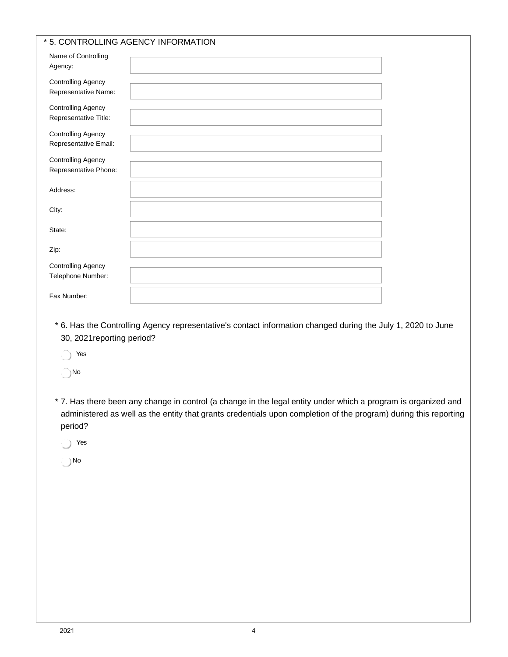| Name of Controlling<br>Agency:                     |                                                                                                 |  |
|----------------------------------------------------|-------------------------------------------------------------------------------------------------|--|
| <b>Controlling Agency</b><br>Representative Name:  |                                                                                                 |  |
| <b>Controlling Agency</b><br>Representative Title: |                                                                                                 |  |
| <b>Controlling Agency</b><br>Representative Email: |                                                                                                 |  |
| <b>Controlling Agency</b><br>Representative Phone: |                                                                                                 |  |
| Address:                                           |                                                                                                 |  |
| City:                                              |                                                                                                 |  |
| State:                                             |                                                                                                 |  |
| Zip:                                               |                                                                                                 |  |
| <b>Controlling Agency</b><br>Telephone Number:     |                                                                                                 |  |
| Fax Number:                                        |                                                                                                 |  |
| 30, 2021 reporting period?<br>Yes                  | * 6. Has the Controlling Agency representative's contact information changed during the July 1, |  |
| No                                                 |                                                                                                 |  |

\* 7. Has there been any change in control (a change in the legal entity under which a program is organized and administered as well as the entity that grants credentials upon completion of the program) during this reporting period?

2020 to June

- Yes
- No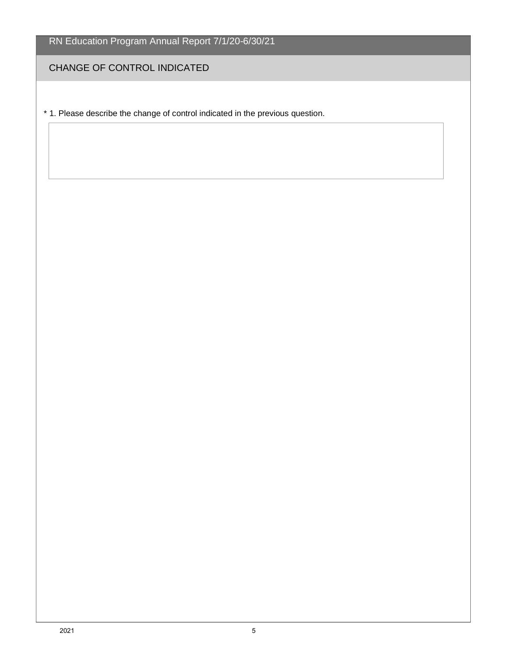CHANGE OF CONTROL INDICATED

\* 1. Please describe the change of control indicated in the previous question.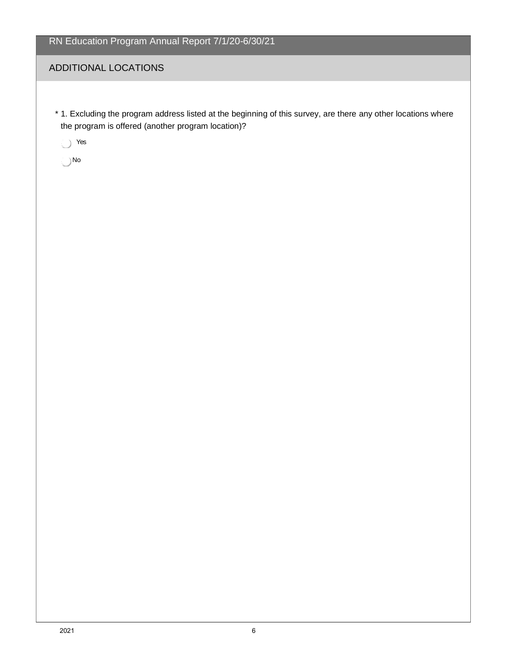### ADDITIONAL LOCATIONS

\* 1. Excluding the program address listed at the beginning of this survey, are there any other locations where the program is offered (another program location)?

Yes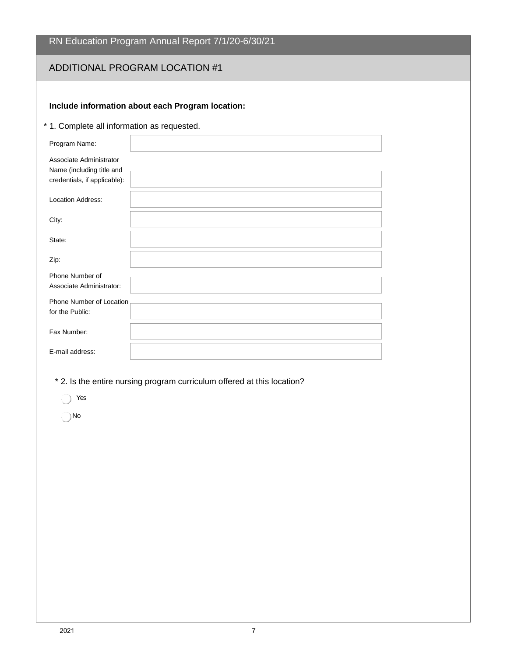### ADDITIONAL PROGRAM LOCATION #1

#### **Include information about each Program location:**

\* 1. Complete all information as requested.

| Program Name:                                        |  |
|------------------------------------------------------|--|
| Associate Administrator<br>Name (including title and |  |
| credentials, if applicable):                         |  |
| <b>Location Address:</b>                             |  |
| City:                                                |  |
| State:                                               |  |
| Zip:                                                 |  |
| Phone Number of<br>Associate Administrator:          |  |
| Phone Number of Location<br>for the Public:          |  |
| Fax Number:                                          |  |
| E-mail address:                                      |  |

\* 2. Is the entire nursing program curriculum offered at this location?

Yes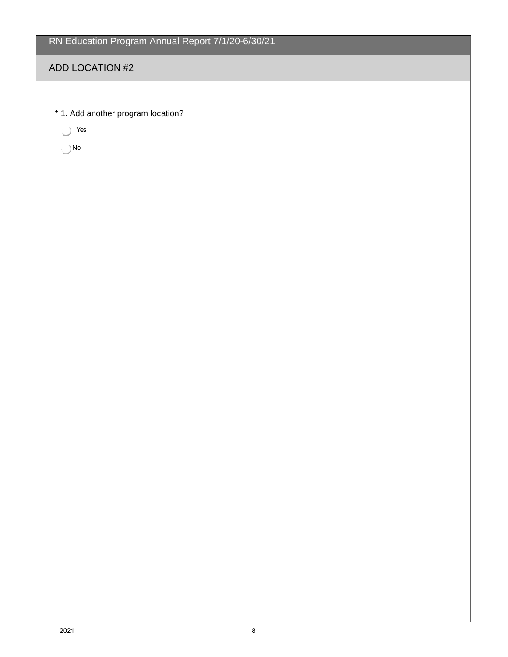#### ADD LOCATION #2

\* 1. Add another program location?

Yes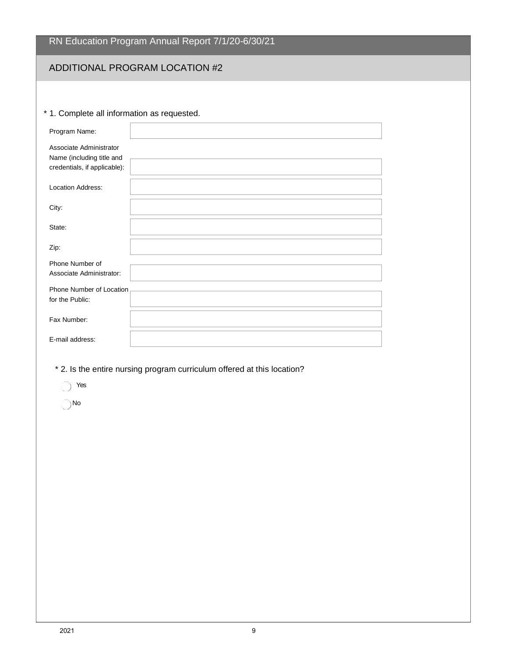|  |  | RN Education Program Annual Report 7/1/20-6/30/21 |
|--|--|---------------------------------------------------|
|  |  |                                                   |

# ADDITIONAL PROGRAM LOCATION #2

#### \* 1. Complete all information as requested.

| Program Name:                                                                        |  |
|--------------------------------------------------------------------------------------|--|
| Associate Administrator<br>Name (including title and<br>credentials, if applicable): |  |
| <b>Location Address:</b>                                                             |  |
| City:                                                                                |  |
| State:                                                                               |  |
| Zip:                                                                                 |  |
| Phone Number of<br>Associate Administrator:                                          |  |
| Phone Number of Location<br>for the Public:                                          |  |
| Fax Number:                                                                          |  |
| E-mail address:                                                                      |  |

- \* 2. Is the entire nursing program curriculum offered at this location?
	- res
	- No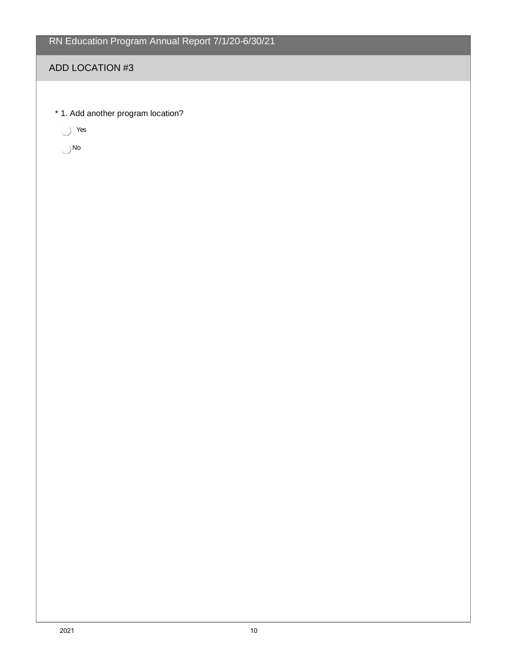#### ADD LOCATION #3

\* 1. Add another program location?

Yes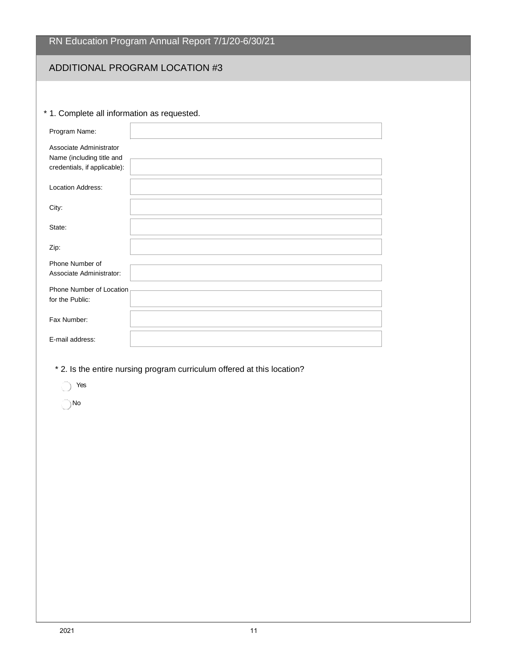# ADDITIONAL PROGRAM LOCATION #3

#### \* 1. Complete all information as requested.

| Program Name:                                                                        |  |
|--------------------------------------------------------------------------------------|--|
| Associate Administrator<br>Name (including title and<br>credentials, if applicable): |  |
| <b>Location Address:</b>                                                             |  |
| City:                                                                                |  |
| State:                                                                               |  |
| Zip:                                                                                 |  |
| Phone Number of<br>Associate Administrator:                                          |  |
| Phone Number of Location<br>for the Public:                                          |  |
| Fax Number:                                                                          |  |
| E-mail address:                                                                      |  |

- \* 2. Is the entire nursing program curriculum offered at this location?
	- Yes
	- No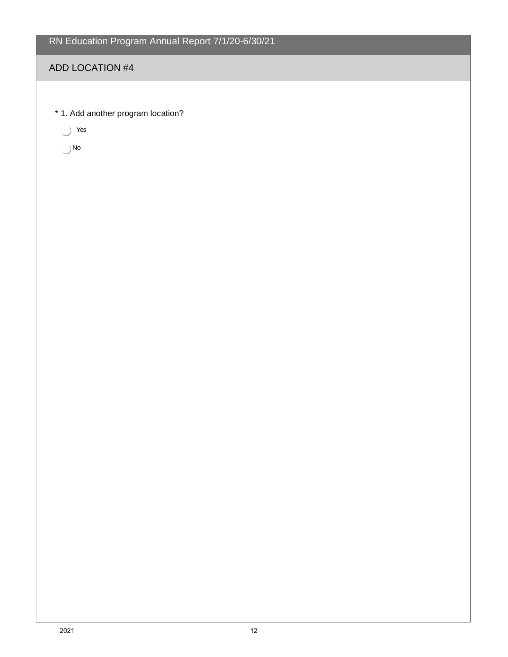#### ADD LOCATION #4

\* 1. Add another program location?

Yes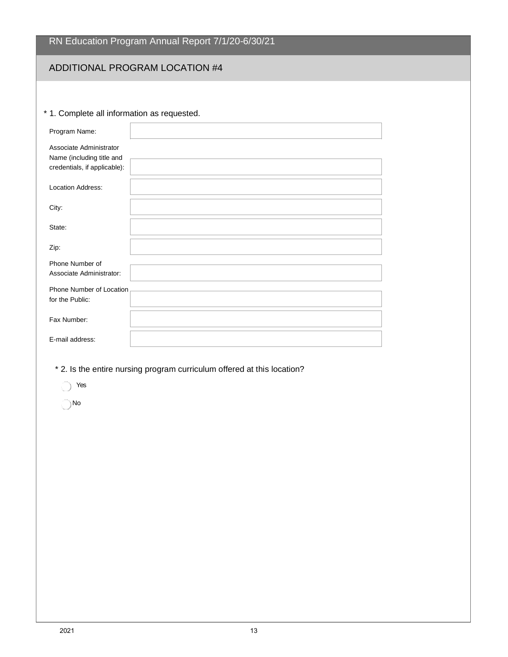# ADDITIONAL PROGRAM LOCATION #4

#### \* 1. Complete all information as requested.

| Program Name:                                                                        |  |
|--------------------------------------------------------------------------------------|--|
| Associate Administrator<br>Name (including title and<br>credentials, if applicable): |  |
| <b>Location Address:</b>                                                             |  |
| City:                                                                                |  |
| State:                                                                               |  |
| Zip:                                                                                 |  |
| Phone Number of<br>Associate Administrator:                                          |  |
| Phone Number of Location<br>for the Public:                                          |  |
| Fax Number:                                                                          |  |
| E-mail address:                                                                      |  |

- \* 2. Is the entire nursing program curriculum offered at this location?
	- res Yes
	- No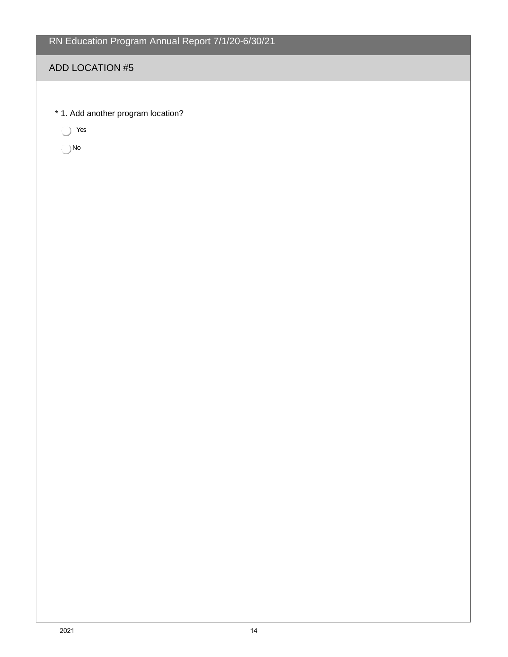#### ADD LOCATION #5

\* 1. Add another program location?

Yes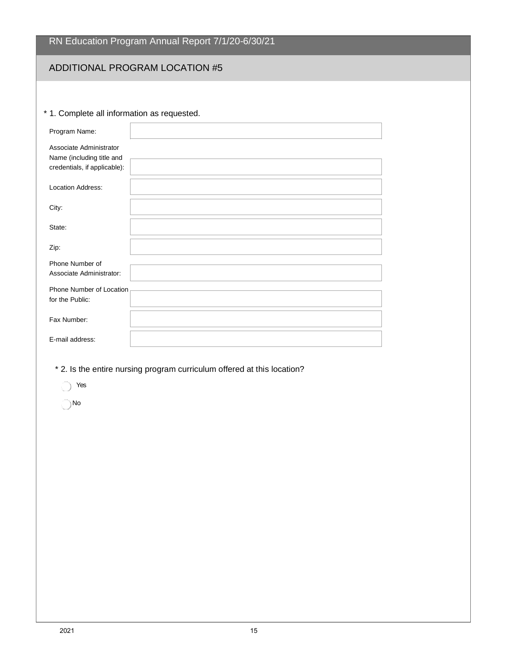# ADDITIONAL PROGRAM LOCATION #5

#### \* 1. Complete all information as requested.

| Program Name:                                                                        |  |
|--------------------------------------------------------------------------------------|--|
| Associate Administrator<br>Name (including title and<br>credentials, if applicable): |  |
| <b>Location Address:</b>                                                             |  |
| City:                                                                                |  |
| State:                                                                               |  |
| Zip:                                                                                 |  |
| Phone Number of<br>Associate Administrator:                                          |  |
| Phone Number of Location<br>for the Public:                                          |  |
| Fax Number:                                                                          |  |
| E-mail address:                                                                      |  |

- \* 2. Is the entire nursing program curriculum offered at this location?
	- res
	- No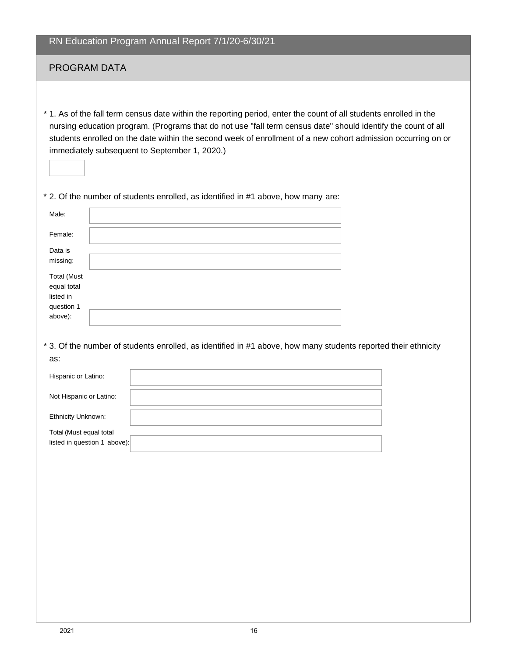#### PROGRAM DATA

\* 1. As of the fall term census date within the reporting period, enter the count of all students enrolled in the nursing education program. (Programs that do not use "fall term census date" should identify the count of all students enrolled on the date within the second week of enrollment of a new cohort admission occurring on or immediately subsequent to September 1, 2020.)

\* 2. Of the number of students enrolled, as identified in #1 above, how many are:

| Male:                                                                   |  |
|-------------------------------------------------------------------------|--|
| Female:                                                                 |  |
| Data is<br>missing:                                                     |  |
| <b>Total (Must</b><br>equal total<br>listed in<br>question 1<br>above): |  |

\* 3. Of the number of students enrolled, as identified in #1 above, how many students reported their ethnicity as:

| Hispanic or Latino:                                     |  |
|---------------------------------------------------------|--|
| Not Hispanic or Latino:                                 |  |
| <b>Ethnicity Unknown:</b>                               |  |
| Total (Must equal total<br>listed in question 1 above): |  |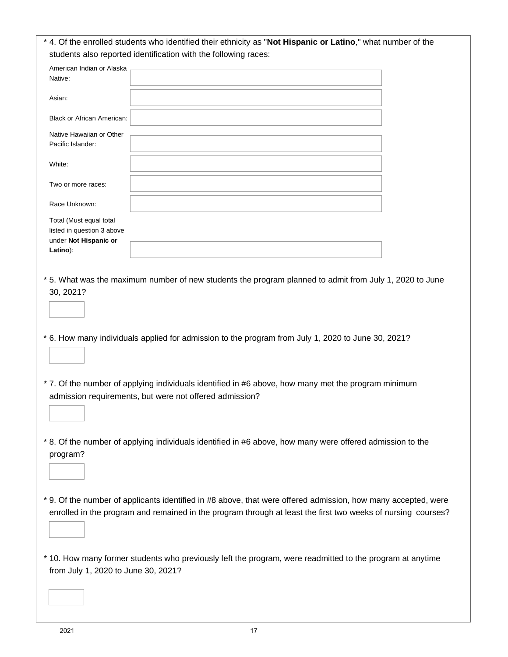|                                                                                            | * 4. Of the enrolled students who identified their ethnicity as "Not Hispanic or Latino," what number of the                                                                                                                  |  |
|--------------------------------------------------------------------------------------------|-------------------------------------------------------------------------------------------------------------------------------------------------------------------------------------------------------------------------------|--|
|                                                                                            | students also reported identification with the following races:                                                                                                                                                               |  |
| American Indian or Alaska<br>Native:                                                       |                                                                                                                                                                                                                               |  |
| Asian:                                                                                     |                                                                                                                                                                                                                               |  |
| <b>Black or African American:</b>                                                          |                                                                                                                                                                                                                               |  |
| Native Hawaiian or Other<br>Pacific Islander:                                              |                                                                                                                                                                                                                               |  |
| White:                                                                                     |                                                                                                                                                                                                                               |  |
| Two or more races:                                                                         |                                                                                                                                                                                                                               |  |
| Race Unknown:                                                                              |                                                                                                                                                                                                                               |  |
| Total (Must equal total<br>listed in question 3 above<br>under Not Hispanic or<br>Latino): |                                                                                                                                                                                                                               |  |
| 30, 2021?                                                                                  | * 5. What was the maximum number of new students the program planned to admit from July 1, 2020 to June                                                                                                                       |  |
|                                                                                            | * 6. How many individuals applied for admission to the program from July 1, 2020 to June 30, 2021?                                                                                                                            |  |
|                                                                                            | * 7. Of the number of applying individuals identified in #6 above, how many met the program minimum<br>admission requirements, but were not offered admission?                                                                |  |
| program?                                                                                   | * 8. Of the number of applying individuals identified in #6 above, how many were offered admission to the                                                                                                                     |  |
|                                                                                            | * 9. Of the number of applicants identified in #8 above, that were offered admission, how many accepted, were<br>enrolled in the program and remained in the program through at least the first two weeks of nursing courses? |  |
| from July 1, 2020 to June 30, 2021?                                                        | * 10. How many former students who previously left the program, were readmitted to the program at anytime                                                                                                                     |  |
|                                                                                            |                                                                                                                                                                                                                               |  |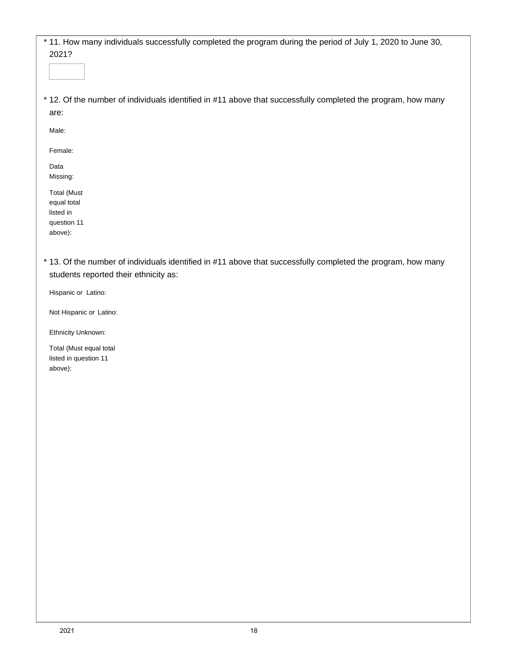| * 11. How many individuals successfully completed the program during the period of July 1, 2020 to June 30, |  |
|-------------------------------------------------------------------------------------------------------------|--|
| 2021?                                                                                                       |  |

\* 12. Of the number of individuals identified in #11 above that successfully completed the program, how many are:

Male:

Female:

Data Missing:

Total (Must equal total listed in question 11 above):

\* 13. Of the number of individuals identified in #11 above that successfully completed the program, how many students reported their ethnicity as:

Hispanic or Latino:

Not Hispanic or Latino:

Ethnicity Unknown:

Total (Must equal total listed in question 11 above):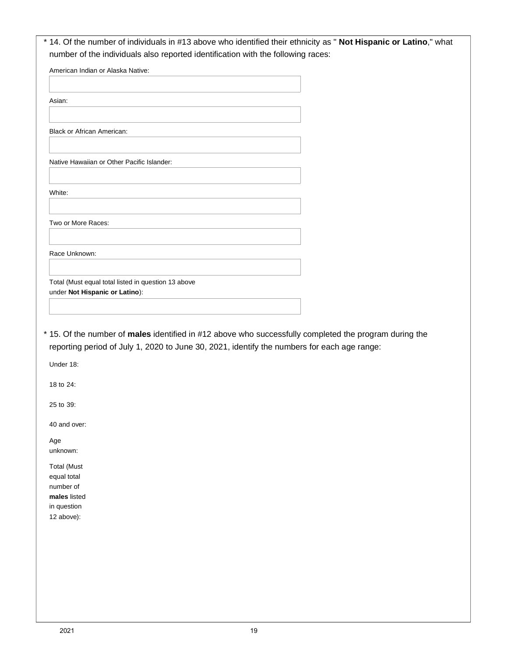| American Indian or Alaska Native:                                                                        |  |
|----------------------------------------------------------------------------------------------------------|--|
| Asian:                                                                                                   |  |
|                                                                                                          |  |
| <b>Black or African American:</b>                                                                        |  |
| Native Hawaiian or Other Pacific Islander:                                                               |  |
|                                                                                                          |  |
| White:                                                                                                   |  |
|                                                                                                          |  |
| Two or More Races:                                                                                       |  |
| Race Unknown:                                                                                            |  |
|                                                                                                          |  |
|                                                                                                          |  |
| Total (Must equal total listed in question 13 above<br>under Not Hispanic or Latino):                    |  |
|                                                                                                          |  |
|                                                                                                          |  |
| * 15. Of the number of males identified in #12 above who successfully completed the program during the   |  |
| reporting period of July 1, 2020 to June 30, 2021, identify the numbers for each age range:<br>Under 18: |  |
| 18 to 24:                                                                                                |  |
| 25 to 39:                                                                                                |  |
| 40 and over:                                                                                             |  |
| Age                                                                                                      |  |
| unknown:<br><b>Total (Must</b>                                                                           |  |
| equal total                                                                                              |  |
| number of                                                                                                |  |
| males listed<br>in question                                                                              |  |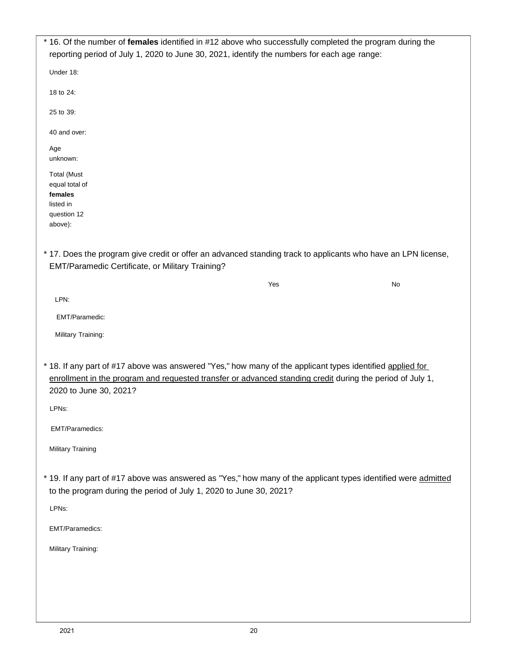| * 16. Of the number of females identified in #12 above who successfully completed the program during the<br>reporting period of July 1, 2020 to June 30, 2021, identify the numbers for each age range:                                          |     |    |
|--------------------------------------------------------------------------------------------------------------------------------------------------------------------------------------------------------------------------------------------------|-----|----|
| Under 18:                                                                                                                                                                                                                                        |     |    |
| 18 to 24:                                                                                                                                                                                                                                        |     |    |
| 25 to 39:                                                                                                                                                                                                                                        |     |    |
| 40 and over:                                                                                                                                                                                                                                     |     |    |
| Age<br>unknown:                                                                                                                                                                                                                                  |     |    |
| <b>Total (Must</b><br>equal total of<br>females<br>listed in<br>question 12<br>above):                                                                                                                                                           |     |    |
| * 17. Does the program give credit or offer an advanced standing track to applicants who have an LPN license,<br>EMT/Paramedic Certificate, or Military Training?                                                                                |     |    |
|                                                                                                                                                                                                                                                  | Yes | No |
| LPN:                                                                                                                                                                                                                                             |     |    |
| EMT/Paramedic:                                                                                                                                                                                                                                   |     |    |
| Military Training:                                                                                                                                                                                                                               |     |    |
| * 18. If any part of #17 above was answered "Yes," how many of the applicant types identified applied for<br>enrollment in the program and requested transfer or advanced standing credit during the period of July 1,<br>2020 to June 30, 2021? |     |    |
| LPNs:                                                                                                                                                                                                                                            |     |    |
| EMT/Paramedics:                                                                                                                                                                                                                                  |     |    |
| <b>Military Training</b>                                                                                                                                                                                                                         |     |    |
| * 19. If any part of #17 above was answered as "Yes," how many of the applicant types identified were admitted<br>to the program during the period of July 1, 2020 to June 30, 2021?<br>LPNs:                                                    |     |    |
|                                                                                                                                                                                                                                                  |     |    |
| EMT/Paramedics:                                                                                                                                                                                                                                  |     |    |
| Military Training:                                                                                                                                                                                                                               |     |    |
|                                                                                                                                                                                                                                                  |     |    |
|                                                                                                                                                                                                                                                  |     |    |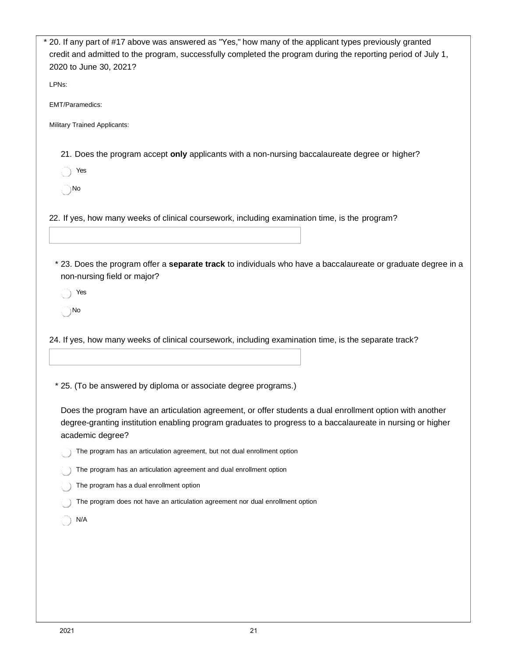| * 20. If any part of #17 above was answered as "Yes," how many of the applicant types previously granted<br>credit and admitted to the program, successfully completed the program during the reporting period of July 1,<br>2020 to June 30, 2021? |
|-----------------------------------------------------------------------------------------------------------------------------------------------------------------------------------------------------------------------------------------------------|
| LPNs:                                                                                                                                                                                                                                               |
| EMT/Paramedics:                                                                                                                                                                                                                                     |
| <b>Military Trained Applicants:</b>                                                                                                                                                                                                                 |
| 21. Does the program accept only applicants with a non-nursing baccalaureate degree or higher?                                                                                                                                                      |
| Yes                                                                                                                                                                                                                                                 |
| ) No                                                                                                                                                                                                                                                |
| 22. If yes, how many weeks of clinical coursework, including examination time, is the program?                                                                                                                                                      |
| * 23. Does the program offer a separate track to individuals who have a baccalaureate or graduate degree in a<br>non-nursing field or major?                                                                                                        |
| Yes                                                                                                                                                                                                                                                 |
| ⊝ No                                                                                                                                                                                                                                                |
| 24. If yes, how many weeks of clinical coursework, including examination time, is the separate track?                                                                                                                                               |
| * 25. (To be answered by diploma or associate degree programs.)                                                                                                                                                                                     |
| Does the program have an articulation agreement, or offer students a dual enrollment option with another<br>degree-granting institution enabling program graduates to progress to a baccalaureate in nursing or higher<br>academic degree?          |
| The program has an articulation agreement, but not dual enrollment option                                                                                                                                                                           |
| The program has an articulation agreement and dual enrollment option                                                                                                                                                                                |
| The program has a dual enrollment option                                                                                                                                                                                                            |
| The program does not have an articulation agreement nor dual enrollment option                                                                                                                                                                      |
| N/A                                                                                                                                                                                                                                                 |
|                                                                                                                                                                                                                                                     |
|                                                                                                                                                                                                                                                     |
|                                                                                                                                                                                                                                                     |
|                                                                                                                                                                                                                                                     |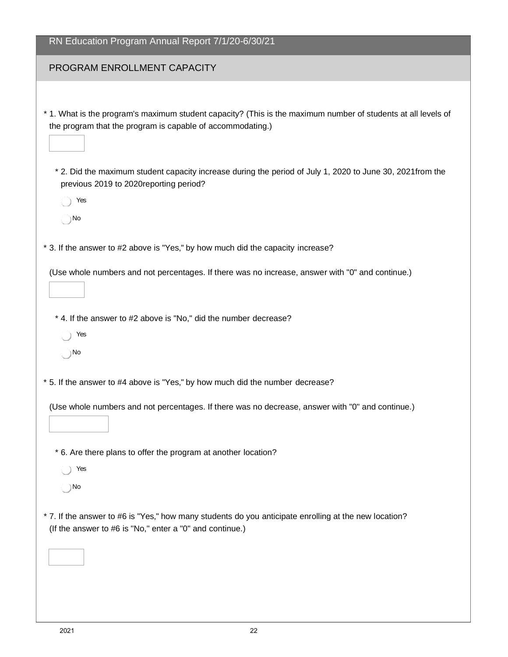| RN Education Program Annual Report 7/1/20-6/30/21                                                                                                                           |
|-----------------------------------------------------------------------------------------------------------------------------------------------------------------------------|
| PROGRAM ENROLLMENT CAPACITY                                                                                                                                                 |
|                                                                                                                                                                             |
| * 1. What is the program's maximum student capacity? (This is the maximum number of students at all levels of<br>the program that the program is capable of accommodating.) |
| * 2. Did the maximum student capacity increase during the period of July 1, 2020 to June 30, 2021from the<br>previous 2019 to 2020reporting period?                         |
| Yes                                                                                                                                                                         |
| $\bigcap$ No                                                                                                                                                                |
| * 3. If the answer to #2 above is "Yes," by how much did the capacity increase?                                                                                             |
| (Use whole numbers and not percentages. If there was no increase, answer with "0" and continue.)                                                                            |
| * 4. If the answer to #2 above is "No," did the number decrease?                                                                                                            |
| Yes                                                                                                                                                                         |
| ) No                                                                                                                                                                        |
| * 5. If the answer to #4 above is "Yes," by how much did the number decrease?                                                                                               |
| (Use whole numbers and not percentages. If there was no decrease, answer with "0" and continue.)                                                                            |
|                                                                                                                                                                             |
| * 6. Are there plans to offer the program at another location?                                                                                                              |
| Yes                                                                                                                                                                         |
| ) No                                                                                                                                                                        |
| * 7. If the answer to #6 is "Yes," how many students do you anticipate enrolling at the new location?<br>(If the answer to #6 is "No," enter a "0" and continue.)           |
|                                                                                                                                                                             |
|                                                                                                                                                                             |
|                                                                                                                                                                             |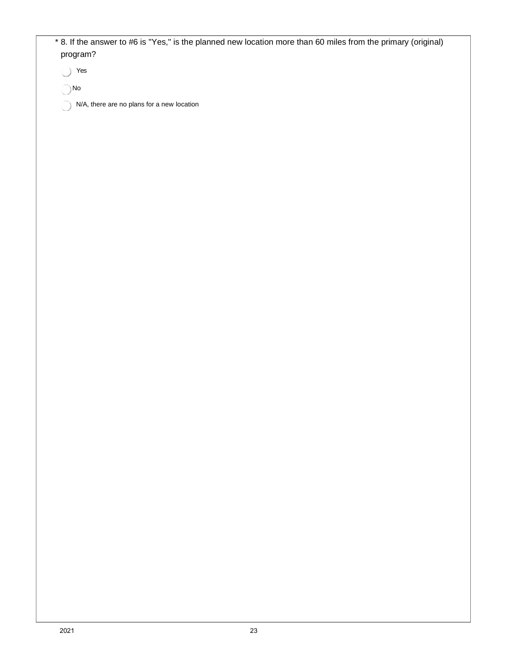| program?      |                                            |  | * 8. If the answer to #6 is "Yes," is the planned new location more than 60 miles from the primary (original) |
|---------------|--------------------------------------------|--|---------------------------------------------------------------------------------------------------------------|
| Yes           |                                            |  |                                                                                                               |
| $\bigcirc$ No |                                            |  |                                                                                                               |
|               | N/A, there are no plans for a new location |  |                                                                                                               |
|               |                                            |  |                                                                                                               |
|               |                                            |  |                                                                                                               |
|               |                                            |  |                                                                                                               |
|               |                                            |  |                                                                                                               |
|               |                                            |  |                                                                                                               |
|               |                                            |  |                                                                                                               |
|               |                                            |  |                                                                                                               |
|               |                                            |  |                                                                                                               |
|               |                                            |  |                                                                                                               |
|               |                                            |  |                                                                                                               |
|               |                                            |  |                                                                                                               |
|               |                                            |  |                                                                                                               |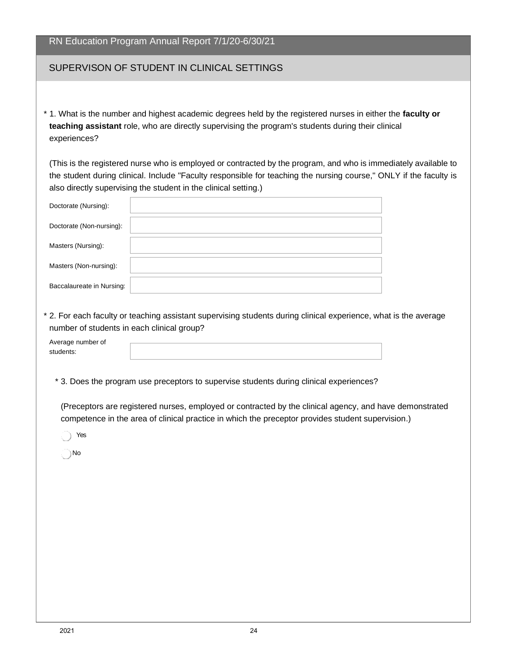| RN Education Program Annual Report 7/1/20-6/30/21 |  |  |  |
|---------------------------------------------------|--|--|--|
|                                                   |  |  |  |

#### SUPERVISON OF STUDENT IN CLINICAL SETTINGS

\* 1. What is the number and highest academic degrees held by the registered nurses in either the **faculty or teaching assistant** role, who are directly supervising the program's students during their clinical experiences?

(This is the registered nurse who is employed or contracted by the program, and who is immediately available to the student during clinical. Include "Faculty responsible for teaching the nursing course," ONLY if the faculty is also directly supervising the student in the clinical setting.)

| Doctorate (Nursing):      |  |
|---------------------------|--|
| Doctorate (Non-nursing):  |  |
| Masters (Nursing):        |  |
| Masters (Non-nursing):    |  |
| Baccalaureate in Nursing: |  |

\* 2. For each faculty or teaching assistant supervising students during clinical experience, what is the average number of students in each clinical group?

| Average number of |  |
|-------------------|--|
| students:         |  |

\* 3. Does the program use preceptors to supervise students during clinical experiences?

(Preceptors are registered nurses, employed or contracted by the clinical agency, and have demonstrated competence in the area of clinical practice in which the preceptor provides student supervision.)

Yes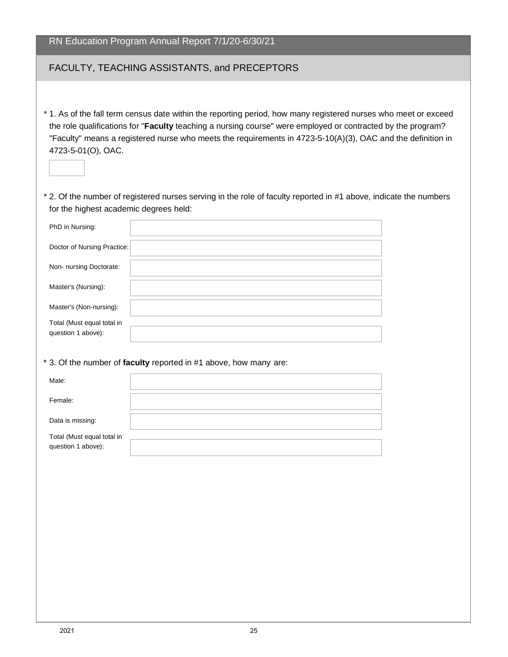| RN Education Program Annual Report 7/1/20-6/30/21                                                                                                                                                                                                                                                                                                                   |
|---------------------------------------------------------------------------------------------------------------------------------------------------------------------------------------------------------------------------------------------------------------------------------------------------------------------------------------------------------------------|
| FACULTY, TEACHING ASSISTANTS, and PRECEPTORS                                                                                                                                                                                                                                                                                                                        |
| * 1. As of the fall term census date within the reporting period, how many registered nurses who meet or exceed<br>the role qualifications for "Faculty teaching a nursing course" were employed or contracted by the program?<br>"Faculty" means a registered nurse who meets the requirements in 4723-5-10(A)(3), OAC and the definition in<br>4723-5-01(O), OAC. |
| * 2. Of the number of registered nurses serving in the role of faculty reported in #1 above, indicate the numbers<br>for the highest academic degrees held:                                                                                                                                                                                                         |
| PhD in Nursing:                                                                                                                                                                                                                                                                                                                                                     |
| Doctor of Nursing Practice:                                                                                                                                                                                                                                                                                                                                         |
| Non- nursing Doctorate:                                                                                                                                                                                                                                                                                                                                             |
| Master's (Nursing):                                                                                                                                                                                                                                                                                                                                                 |
| Master's (Non-nursing):                                                                                                                                                                                                                                                                                                                                             |
| Total (Must equal total in<br>question 1 above):                                                                                                                                                                                                                                                                                                                    |
| * 3. Of the number of faculty reported in #1 above, how many are:                                                                                                                                                                                                                                                                                                   |
| Male:                                                                                                                                                                                                                                                                                                                                                               |
| Female:                                                                                                                                                                                                                                                                                                                                                             |
| Data is missing:                                                                                                                                                                                                                                                                                                                                                    |
| Total (Must equal total in<br>question 1 above):                                                                                                                                                                                                                                                                                                                    |
|                                                                                                                                                                                                                                                                                                                                                                     |
|                                                                                                                                                                                                                                                                                                                                                                     |
|                                                                                                                                                                                                                                                                                                                                                                     |
|                                                                                                                                                                                                                                                                                                                                                                     |
|                                                                                                                                                                                                                                                                                                                                                                     |
|                                                                                                                                                                                                                                                                                                                                                                     |
|                                                                                                                                                                                                                                                                                                                                                                     |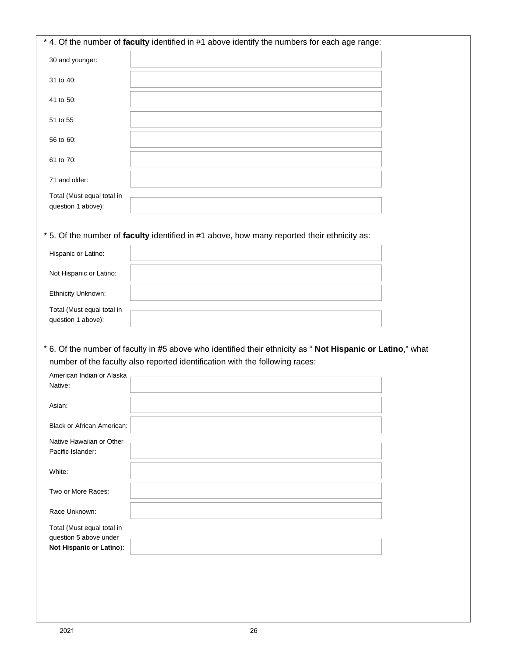|                                                    | * 4. Of the number of faculty identified in #1 above identify the numbers for each age range:              |  |
|----------------------------------------------------|------------------------------------------------------------------------------------------------------------|--|
| 30 and younger:                                    |                                                                                                            |  |
| 31 to 40:                                          |                                                                                                            |  |
| 41 to 50:                                          |                                                                                                            |  |
| 51 to 55                                           |                                                                                                            |  |
| 56 to 60:                                          |                                                                                                            |  |
| 61 to 70:                                          |                                                                                                            |  |
| 71 and older:                                      |                                                                                                            |  |
| Total (Must equal total in<br>question 1 above):   |                                                                                                            |  |
|                                                    | * 5. Of the number of faculty identified in #1 above, how many reported their ethnicity as:                |  |
| Hispanic or Latino:                                |                                                                                                            |  |
| Not Hispanic or Latino:                            |                                                                                                            |  |
| Ethnicity Unknown:                                 |                                                                                                            |  |
|                                                    |                                                                                                            |  |
| Total (Must equal total in                         |                                                                                                            |  |
| question 1 above):                                 |                                                                                                            |  |
|                                                    | * 6. Of the number of faculty in #5 above who identified their ethnicity as "Not Hispanic or Latino," what |  |
|                                                    | number of the faculty also reported identification with the following races:                               |  |
| American Indian or Alaska<br>Native:               |                                                                                                            |  |
| Asian:                                             |                                                                                                            |  |
| <b>Black or African American:</b>                  |                                                                                                            |  |
| Native Hawaiian or Other<br>Pacific Islander:      |                                                                                                            |  |
| White:                                             |                                                                                                            |  |
| Two or More Races:                                 |                                                                                                            |  |
| Race Unknown:                                      |                                                                                                            |  |
| Total (Must equal total in                         |                                                                                                            |  |
| question 5 above under<br>Not Hispanic or Latino): |                                                                                                            |  |
|                                                    |                                                                                                            |  |
|                                                    |                                                                                                            |  |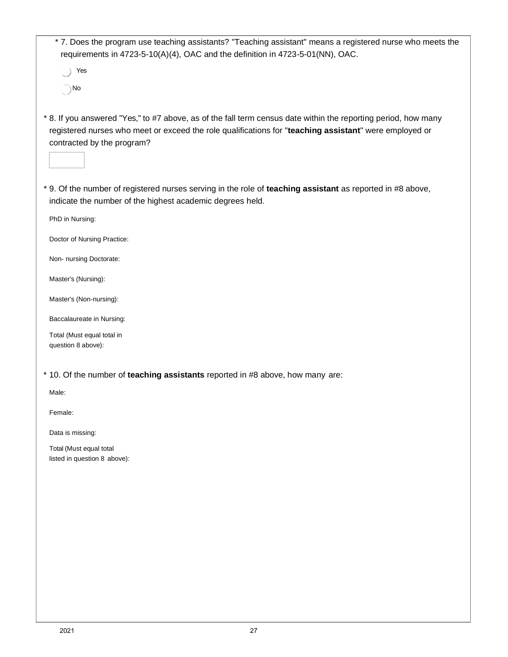| *7. Does the program use teaching assistants? "Teaching assistant" means a registered nurse who meets the<br>requirements in 4723-5-10(A)(4), OAC and the definition in 4723-5-01(NN), OAC.                                                            |
|--------------------------------------------------------------------------------------------------------------------------------------------------------------------------------------------------------------------------------------------------------|
| Yes                                                                                                                                                                                                                                                    |
| `) No                                                                                                                                                                                                                                                  |
| * 8. If you answered "Yes," to #7 above, as of the fall term census date within the reporting period, how many<br>registered nurses who meet or exceed the role qualifications for "teaching assistant" were employed or<br>contracted by the program? |
| * 9. Of the number of registered nurses serving in the role of teaching assistant as reported in #8 above,<br>indicate the number of the highest academic degrees held.                                                                                |
| PhD in Nursing:                                                                                                                                                                                                                                        |
| Doctor of Nursing Practice:                                                                                                                                                                                                                            |
| Non- nursing Doctorate:                                                                                                                                                                                                                                |
| Master's (Nursing):                                                                                                                                                                                                                                    |
| Master's (Non-nursing):                                                                                                                                                                                                                                |
| Baccalaureate in Nursing:                                                                                                                                                                                                                              |
| Total (Must equal total in<br>question 8 above):                                                                                                                                                                                                       |
| * 10. Of the number of teaching assistants reported in #8 above, how many are:                                                                                                                                                                         |
| Male:                                                                                                                                                                                                                                                  |
| Female:                                                                                                                                                                                                                                                |
| Data is missing:                                                                                                                                                                                                                                       |
| Total (Must equal total<br>listed in question 8 above):                                                                                                                                                                                                |
|                                                                                                                                                                                                                                                        |
|                                                                                                                                                                                                                                                        |
|                                                                                                                                                                                                                                                        |
|                                                                                                                                                                                                                                                        |
|                                                                                                                                                                                                                                                        |
|                                                                                                                                                                                                                                                        |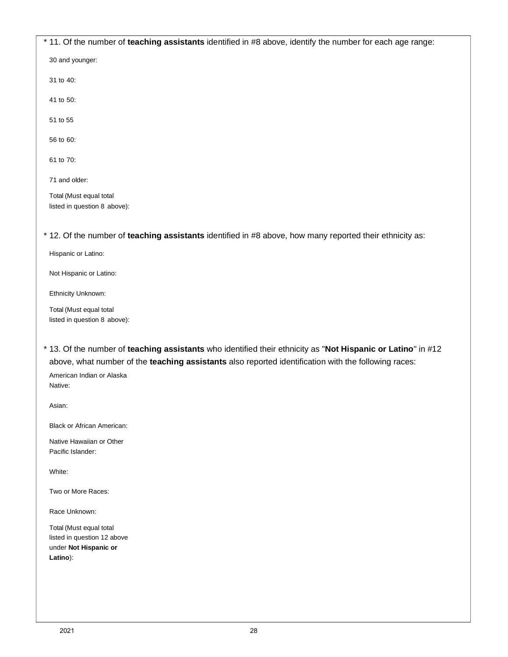\* 11. Of the number of **teaching assistants** identified in #8 above, identify the number for each age range: 30 and younger: 31 to 40: 41 to 50: 51 to 55 56 to 60: 61 to 70: 71 and older: Total (Must equal total listed in question 8 above): \* 12. Of the number of **teaching assistants** identified in #8 above, how many reported their ethnicity as: Hispanic or Latino: Not Hispanic or Latino: Ethnicity Unknown: Total (Must equal total listed in question 8 above): \* 13. Of the number of **teaching assistants** who identified their ethnicity as "**Not Hispanic or Latino**" in #12 above, what number of the **teaching assistants** also reported identification with the following races: American Indian or Alaska Native: Asian: Black or African American: Native Hawaiian or Other Pacific Islander: White: Two or More Races: Race Unknown: Total (Must equal total listed in question 12 above under **Not Hispanic or Latino**):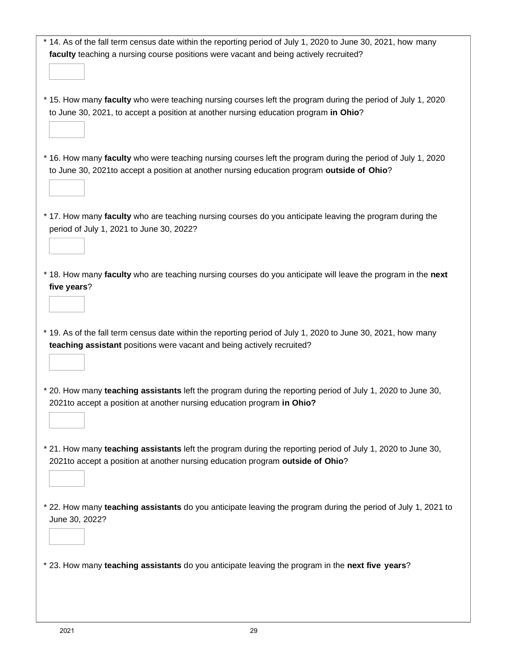| * 14. As of the fall term census date within the reporting period of July 1, 2020 to June 30, 2021, how many                                                                           |
|----------------------------------------------------------------------------------------------------------------------------------------------------------------------------------------|
| faculty teaching a nursing course positions were vacant and being actively recruited?                                                                                                  |
|                                                                                                                                                                                        |
|                                                                                                                                                                                        |
| * 15. How many faculty who were teaching nursing courses left the program during the period of July 1, 2020                                                                            |
| to June 30, 2021, to accept a position at another nursing education program in Ohio?                                                                                                   |
|                                                                                                                                                                                        |
|                                                                                                                                                                                        |
|                                                                                                                                                                                        |
| * 16. How many faculty who were teaching nursing courses left the program during the period of July 1, 2020                                                                            |
| to June 30, 2021to accept a position at another nursing education program outside of Ohio?                                                                                             |
|                                                                                                                                                                                        |
|                                                                                                                                                                                        |
| * 17. How many faculty who are teaching nursing courses do you anticipate leaving the program during the                                                                               |
| period of July 1, 2021 to June 30, 2022?                                                                                                                                               |
|                                                                                                                                                                                        |
|                                                                                                                                                                                        |
|                                                                                                                                                                                        |
| * 18. How many faculty who are teaching nursing courses do you anticipate will leave the program in the next                                                                           |
| five years?                                                                                                                                                                            |
|                                                                                                                                                                                        |
|                                                                                                                                                                                        |
| * 19. As of the fall term census date within the reporting period of July 1, 2020 to June 30, 2021, how many                                                                           |
| teaching assistant positions were vacant and being actively recruited?                                                                                                                 |
|                                                                                                                                                                                        |
|                                                                                                                                                                                        |
|                                                                                                                                                                                        |
| * 20. How many teaching assistants left the program during the reporting period of July 1, 2020 to June 30,<br>2021 to accept a position at another nursing education program in Ohio? |
|                                                                                                                                                                                        |
|                                                                                                                                                                                        |
|                                                                                                                                                                                        |
| * 21. How many teaching assistants left the program during the reporting period of July 1, 2020 to June 30,                                                                            |
| 2021 to accept a position at another nursing education program outside of Ohio?                                                                                                        |
|                                                                                                                                                                                        |
|                                                                                                                                                                                        |
| * 22. How many teaching assistants do you anticipate leaving the program during the period of July 1, 2021 to                                                                          |
| June 30, 2022?                                                                                                                                                                         |
|                                                                                                                                                                                        |
|                                                                                                                                                                                        |
|                                                                                                                                                                                        |
| * 23. How many teaching assistants do you anticipate leaving the program in the next five years?                                                                                       |
|                                                                                                                                                                                        |
|                                                                                                                                                                                        |
|                                                                                                                                                                                        |
|                                                                                                                                                                                        |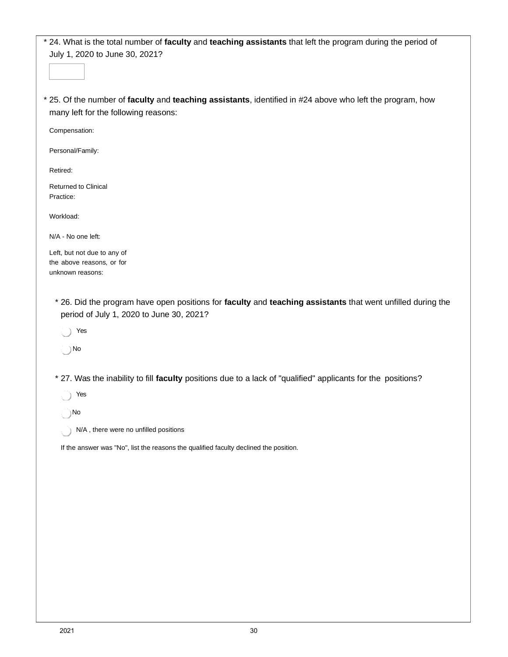\* 24. What is the total number of **faculty** and **teaching assistants** that left the program during the period of July 1, 2020 to June 30, 2021?

\* 25. Of the number of **faculty** and **teaching assistants**, identified in #24 above who left the program, how many left for the following reasons:

Compensation:

Personal/Family:

Retired:

Returned to Clinical Practice:

Workload:

N/A - No one left:

Left, but not due to any of the above reasons, or for unknown reasons:

- \* 26. Did the program have open positions for **faculty** and **teaching assistants** that went unfilled during the period of July 1, 2020 to June 30, 2021?
	- Yes

No

- \* 27. Was the inability to fill **faculty** positions due to a lack of "qualified" applicants for the positions?
	- Yes

No

N/A , there were no unfilled positions

If the answer was "No", list the reasons the qualified faculty declined the position.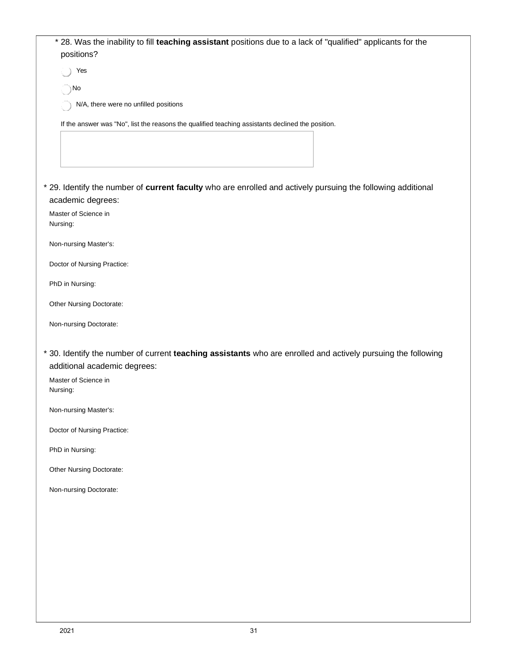|          | * 28. Was the inability to fill teaching assistant positions due to a lack of "qualified" applicants for the<br>positions?                    |
|----------|-----------------------------------------------------------------------------------------------------------------------------------------------|
|          | Yes                                                                                                                                           |
|          | ◯ No                                                                                                                                          |
|          | N/A, there were no unfilled positions                                                                                                         |
|          | If the answer was "No", list the reasons the qualified teaching assistants declined the position.                                             |
|          |                                                                                                                                               |
|          |                                                                                                                                               |
|          |                                                                                                                                               |
|          | * 29. Identify the number of current faculty who are enrolled and actively pursuing the following additional<br>academic degrees:             |
|          | Master of Science in                                                                                                                          |
| Nursing: |                                                                                                                                               |
|          | Non-nursing Master's:                                                                                                                         |
|          | Doctor of Nursing Practice:                                                                                                                   |
|          | PhD in Nursing:                                                                                                                               |
|          | Other Nursing Doctorate:                                                                                                                      |
|          | Non-nursing Doctorate:                                                                                                                        |
|          | * 30. Identify the number of current teaching assistants who are enrolled and actively pursuing the following<br>additional academic degrees: |
| Nursing: | Master of Science in                                                                                                                          |
|          | Non-nursing Master's:                                                                                                                         |
|          | Doctor of Nursing Practice:                                                                                                                   |
|          | PhD in Nursing:                                                                                                                               |
|          | Other Nursing Doctorate:                                                                                                                      |
|          | Non-nursing Doctorate:                                                                                                                        |
|          |                                                                                                                                               |
|          |                                                                                                                                               |
|          |                                                                                                                                               |
|          |                                                                                                                                               |
|          |                                                                                                                                               |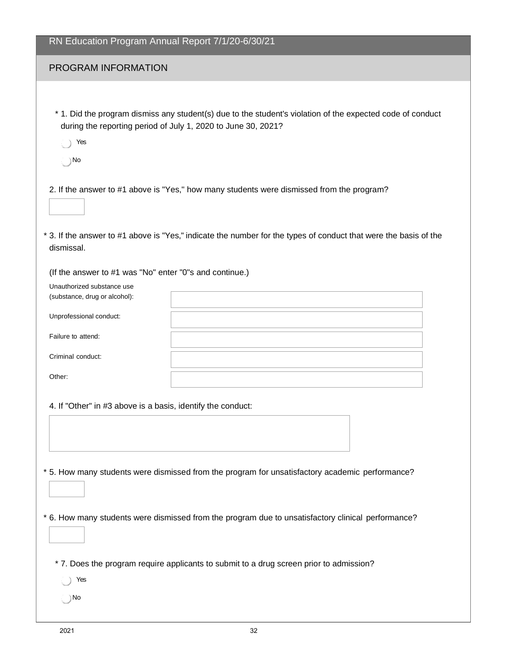| RN Education Program Annual Report 7/1/20-6/30/21                                                                      |                                                                                                                                                                                                               |
|------------------------------------------------------------------------------------------------------------------------|---------------------------------------------------------------------------------------------------------------------------------------------------------------------------------------------------------------|
| PROGRAM INFORMATION                                                                                                    |                                                                                                                                                                                                               |
| during the reporting period of July 1, 2020 to June 30, 2021?<br>Yes<br>(   ) No                                       | * 1. Did the program dismiss any student(s) due to the student's violation of the expected code of conduct                                                                                                    |
| dismissal.                                                                                                             | 2. If the answer to #1 above is "Yes," how many students were dismissed from the program?<br>* 3. If the answer to #1 above is "Yes," indicate the number for the types of conduct that were the basis of the |
| (If the answer to #1 was "No" enter "0"s and continue.)<br>Unauthorized substance use<br>(substance, drug or alcohol): |                                                                                                                                                                                                               |
| Unprofessional conduct:<br>Failure to attend:                                                                          |                                                                                                                                                                                                               |
| Criminal conduct:<br>Other:                                                                                            |                                                                                                                                                                                                               |
| 4. If "Other" in #3 above is a basis, identify the conduct:                                                            |                                                                                                                                                                                                               |
|                                                                                                                        | * 5. How many students were dismissed from the program for unsatisfactory academic performance?<br>* 6. How many students were dismissed from the program due to unsatisfactory clinical performance?         |
| Yes<br>No.                                                                                                             | * 7. Does the program require applicants to submit to a drug screen prior to admission?                                                                                                                       |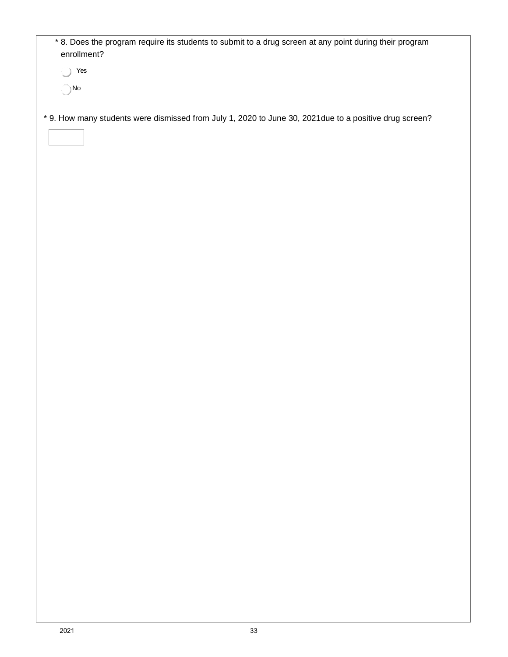| Yes<br>0      |                                                                                                         |  |  |
|---------------|---------------------------------------------------------------------------------------------------------|--|--|
| $\bigcirc$ No |                                                                                                         |  |  |
|               |                                                                                                         |  |  |
|               |                                                                                                         |  |  |
|               | * 9. How many students were dismissed from July 1, 2020 to June 30, 2021 due to a positive drug screen? |  |  |
|               |                                                                                                         |  |  |
|               |                                                                                                         |  |  |
|               |                                                                                                         |  |  |
|               |                                                                                                         |  |  |
|               |                                                                                                         |  |  |
|               |                                                                                                         |  |  |
|               |                                                                                                         |  |  |
|               |                                                                                                         |  |  |
|               |                                                                                                         |  |  |
|               |                                                                                                         |  |  |
|               |                                                                                                         |  |  |
|               |                                                                                                         |  |  |
|               |                                                                                                         |  |  |
|               |                                                                                                         |  |  |
|               |                                                                                                         |  |  |
|               |                                                                                                         |  |  |
|               |                                                                                                         |  |  |
|               |                                                                                                         |  |  |
|               |                                                                                                         |  |  |
|               |                                                                                                         |  |  |
|               |                                                                                                         |  |  |
|               |                                                                                                         |  |  |
|               |                                                                                                         |  |  |
|               |                                                                                                         |  |  |
|               |                                                                                                         |  |  |
|               |                                                                                                         |  |  |
|               |                                                                                                         |  |  |
|               |                                                                                                         |  |  |
|               |                                                                                                         |  |  |
|               |                                                                                                         |  |  |
|               |                                                                                                         |  |  |
|               |                                                                                                         |  |  |
|               |                                                                                                         |  |  |
|               |                                                                                                         |  |  |
|               |                                                                                                         |  |  |
|               |                                                                                                         |  |  |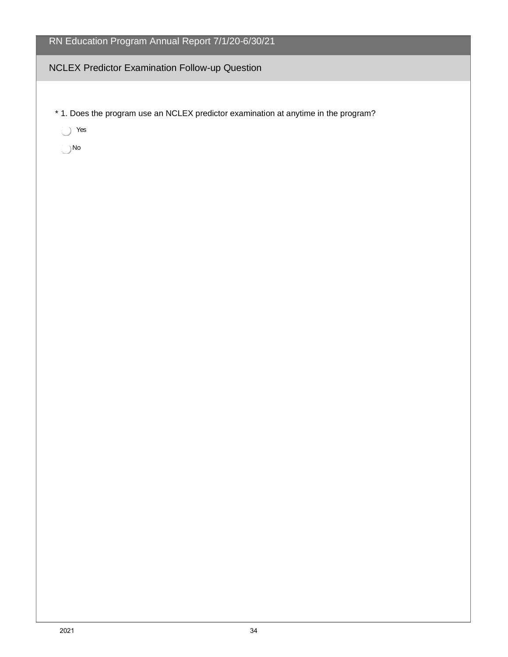#### NCLEX Predictor Examination Follow-up Question

\* 1. Does the program use an NCLEX predictor examination at anytime in the program?

Yes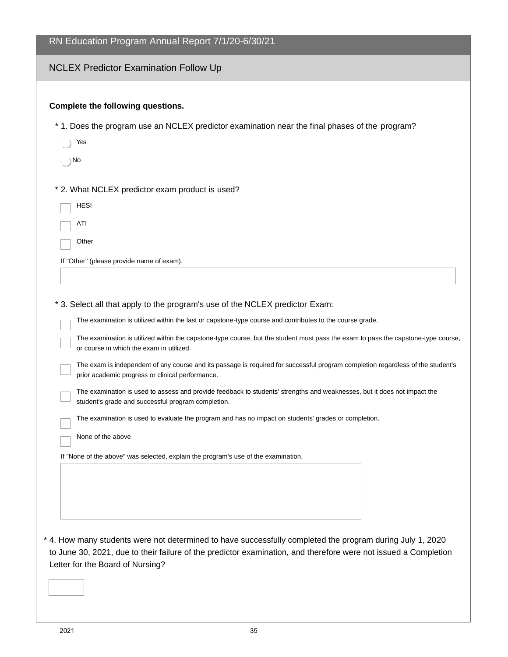| RN Education Program Annual Report 7/1/20-6/30/21                                                                                                                                                                                                                                                                                                                                                                                                                                                                                                                                                                                                                                                                                                                                                                                                                                                                                                                     |
|-----------------------------------------------------------------------------------------------------------------------------------------------------------------------------------------------------------------------------------------------------------------------------------------------------------------------------------------------------------------------------------------------------------------------------------------------------------------------------------------------------------------------------------------------------------------------------------------------------------------------------------------------------------------------------------------------------------------------------------------------------------------------------------------------------------------------------------------------------------------------------------------------------------------------------------------------------------------------|
| <b>NCLEX Predictor Examination Follow Up</b>                                                                                                                                                                                                                                                                                                                                                                                                                                                                                                                                                                                                                                                                                                                                                                                                                                                                                                                          |
| Complete the following questions.                                                                                                                                                                                                                                                                                                                                                                                                                                                                                                                                                                                                                                                                                                                                                                                                                                                                                                                                     |
| * 1. Does the program use an NCLEX predictor examination near the final phases of the program?                                                                                                                                                                                                                                                                                                                                                                                                                                                                                                                                                                                                                                                                                                                                                                                                                                                                        |
| Yes                                                                                                                                                                                                                                                                                                                                                                                                                                                                                                                                                                                                                                                                                                                                                                                                                                                                                                                                                                   |
| ∴ }No                                                                                                                                                                                                                                                                                                                                                                                                                                                                                                                                                                                                                                                                                                                                                                                                                                                                                                                                                                 |
| * 2. What NCLEX predictor exam product is used?                                                                                                                                                                                                                                                                                                                                                                                                                                                                                                                                                                                                                                                                                                                                                                                                                                                                                                                       |
| <b>HESI</b>                                                                                                                                                                                                                                                                                                                                                                                                                                                                                                                                                                                                                                                                                                                                                                                                                                                                                                                                                           |
| ATI                                                                                                                                                                                                                                                                                                                                                                                                                                                                                                                                                                                                                                                                                                                                                                                                                                                                                                                                                                   |
| Other                                                                                                                                                                                                                                                                                                                                                                                                                                                                                                                                                                                                                                                                                                                                                                                                                                                                                                                                                                 |
| If "Other" (please provide name of exam).                                                                                                                                                                                                                                                                                                                                                                                                                                                                                                                                                                                                                                                                                                                                                                                                                                                                                                                             |
| * 3. Select all that apply to the program's use of the NCLEX predictor Exam:<br>The examination is utilized within the last or capstone-type course and contributes to the course grade.<br>The examination is utilized within the capstone-type course, but the student must pass the exam to pass the capstone-type course,<br>or course in which the exam in utilized.<br>The exam is independent of any course and its passage is required for successful program completion regardless of the student's<br>prior academic progress or clinical performance.<br>The examination is used to assess and provide feedback to students' strengths and weaknesses, but it does not impact the<br>student's grade and successful program completion.<br>The examination is used to evaluate the program and has no impact on students' grades or completion.<br>None of the above<br>If "None of the above" was selected, explain the program's use of the examination. |
| * 4. How many students were not determined to have successfully completed the program during July 1, 2020<br>to June 30, 2021, due to their failure of the predictor examination, and therefore were not issued a Completion<br>Letter for the Board of Nursing?                                                                                                                                                                                                                                                                                                                                                                                                                                                                                                                                                                                                                                                                                                      |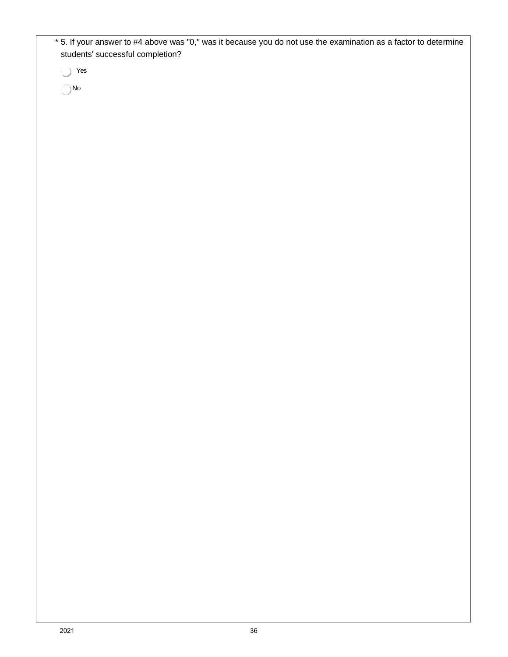\* 5. If your answer to #4 above was "0," was it because you do not use the examination as a factor to determine students' successful completion?

Yes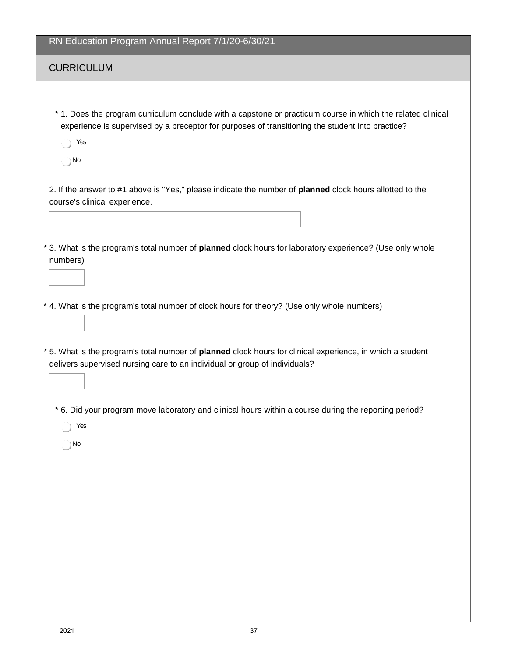#### **CURRICULUM**

\* 1. Does the program curriculum conclude with a capstone or practicum course in which the related clinical experience is supervised by a preceptor for purposes of transitioning the student into practice?

Yes

No

2. If the answer to #1 above is "Yes," please indicate the number of **planned** clock hours allotted to the course's clinical experience.

- \* 3. What is the program's total number of **planned** clock hours for laboratory experience? (Use only whole numbers)
- \* 4. What is the program's total number of clock hours for theory? (Use only whole numbers)
- \* 5. What is the program's total number of **planned** clock hours for clinical experience, in which a student delivers supervised nursing care to an individual or group of individuals?
	- \* 6. Did your program move laboratory and clinical hours within a course during the reporting period?
		- Yes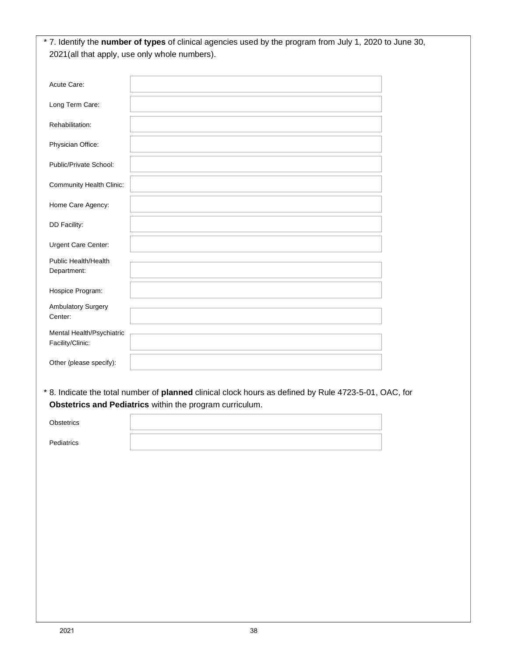|                                               | * 7. Identify the number of types of clinical agencies used by the program from July 1, 2020 to June 30, |
|-----------------------------------------------|----------------------------------------------------------------------------------------------------------|
|                                               | 2021(all that apply, use only whole numbers).                                                            |
|                                               |                                                                                                          |
| Acute Care:                                   |                                                                                                          |
| Long Term Care:                               |                                                                                                          |
| Rehabilitation:                               |                                                                                                          |
| Physician Office:                             |                                                                                                          |
| Public/Private School:                        |                                                                                                          |
| Community Health Clinic:                      |                                                                                                          |
| Home Care Agency:                             |                                                                                                          |
| DD Facility:                                  |                                                                                                          |
| Urgent Care Center:                           |                                                                                                          |
| Public Health/Health<br>Department:           |                                                                                                          |
| Hospice Program:                              |                                                                                                          |
| Ambulatory Surgery<br>Center:                 |                                                                                                          |
| Mental Health/Psychiatric<br>Facility/Clinic: |                                                                                                          |
| Other (please specify):                       |                                                                                                          |

**Obstetrics and Pediatrics** within the program curriculum.

| Obstetrics |  |
|------------|--|
| Pediatrics |  |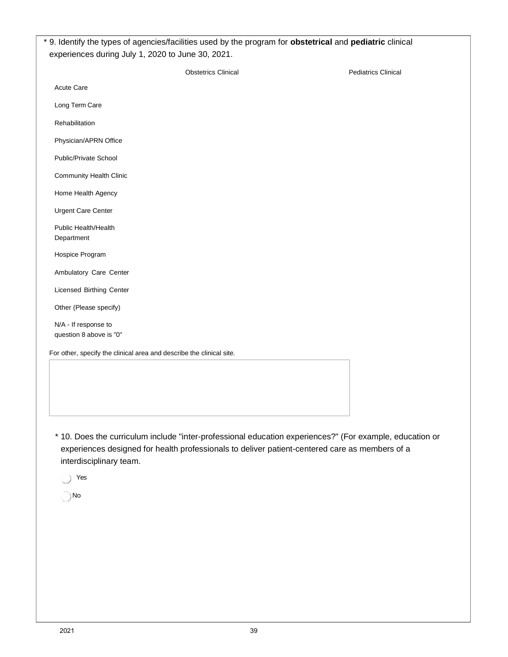| <b>Pediatrics Clinical</b> |
|----------------------------|
|                            |
|                            |
|                            |
|                            |
|                            |
|                            |
|                            |
|                            |
|                            |
|                            |
|                            |
|                            |
|                            |
|                            |
|                            |
|                            |
|                            |
|                            |

\* 10. Does the curriculum include "inter-professional education experiences?" (For example, education or experiences designed for health professionals to deliver patient-centered care as members of a interdisciplinary team.

Yes  $\bigcirc$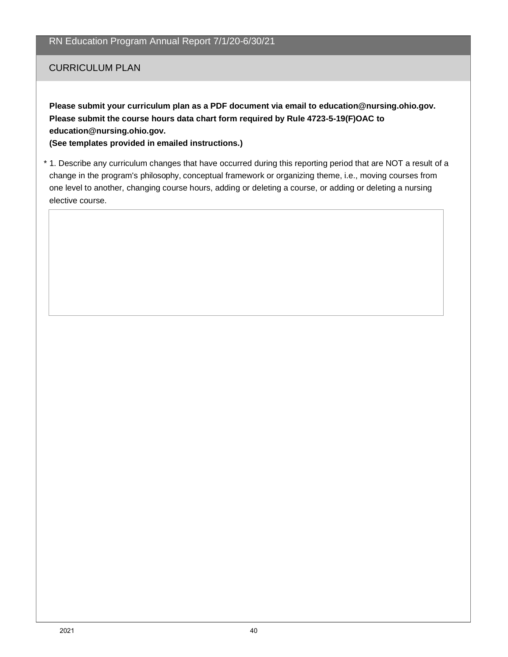#### CURRICULUM PLAN

**Please submit your curriculum plan as a PDF document via email to [education@nursing.ohio.gov.](mailto:education@nursing.ohio.gov) Please submit the course hours data chart form required by Rule 4723-5-19(F)OAC to [education@nursing.ohio.gov.](mailto:education@nursing.ohio.gov)**

**(See templates provided in emailed instructions.)**

\* 1. Describe any curriculum changes that have occurred during this reporting period that are NOT a result of a change in the program's philosophy, conceptual framework or organizing theme, i.e., moving courses from one level to another, changing course hours, adding or deleting a course, or adding or deleting a nursing elective course.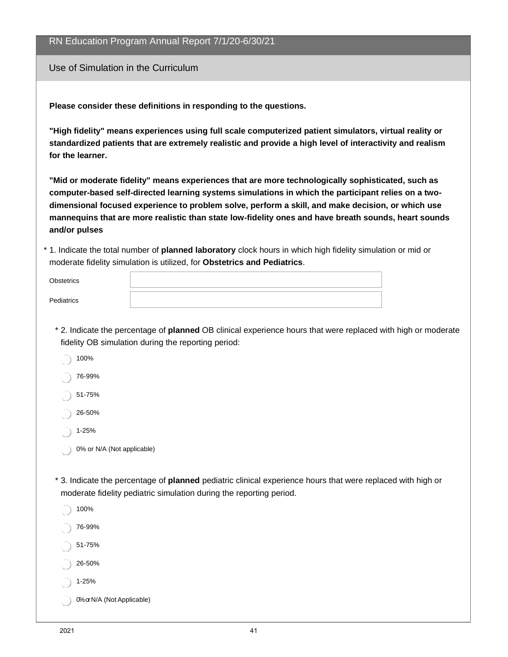|                                     | RN Education Program Annual Report 7/1/20-6/30/21                                                                                                                                                                                                                                                                                                                                                                                                                                                                                                                                                                                                                                                                |
|-------------------------------------|------------------------------------------------------------------------------------------------------------------------------------------------------------------------------------------------------------------------------------------------------------------------------------------------------------------------------------------------------------------------------------------------------------------------------------------------------------------------------------------------------------------------------------------------------------------------------------------------------------------------------------------------------------------------------------------------------------------|
| Use of Simulation in the Curriculum |                                                                                                                                                                                                                                                                                                                                                                                                                                                                                                                                                                                                                                                                                                                  |
| for the learner.<br>and/or pulses   | Please consider these definitions in responding to the questions.<br>"High fidelity" means experiences using full scale computerized patient simulators, virtual reality or<br>standardized patients that are extremely realistic and provide a high level of interactivity and realism<br>"Mid or moderate fidelity" means experiences that are more technologically sophisticated, such as<br>computer-based self-directed learning systems simulations in which the participant relies on a two-<br>dimensional focused experience to problem solve, perform a skill, and make decision, or which use<br>mannequins that are more realistic than state low-fidelity ones and have breath sounds, heart sounds |
|                                     | * 1. Indicate the total number of planned laboratory clock hours in which high fidelity simulation or mid or<br>moderate fidelity simulation is utilized, for Obstetrics and Pediatrics.                                                                                                                                                                                                                                                                                                                                                                                                                                                                                                                         |
| <b>Obstetrics</b>                   |                                                                                                                                                                                                                                                                                                                                                                                                                                                                                                                                                                                                                                                                                                                  |
| Pediatrics                          |                                                                                                                                                                                                                                                                                                                                                                                                                                                                                                                                                                                                                                                                                                                  |
|                                     | * 2. Indicate the percentage of planned OB clinical experience hours that were replaced with high or moderate<br>fidelity OB simulation during the reporting period:                                                                                                                                                                                                                                                                                                                                                                                                                                                                                                                                             |
| 100%                                |                                                                                                                                                                                                                                                                                                                                                                                                                                                                                                                                                                                                                                                                                                                  |
| 76-99%<br>51-75%                    |                                                                                                                                                                                                                                                                                                                                                                                                                                                                                                                                                                                                                                                                                                                  |
| 26-50%                              |                                                                                                                                                                                                                                                                                                                                                                                                                                                                                                                                                                                                                                                                                                                  |
| 1-25%                               |                                                                                                                                                                                                                                                                                                                                                                                                                                                                                                                                                                                                                                                                                                                  |
| 0% or N/A (Not applicable)          |                                                                                                                                                                                                                                                                                                                                                                                                                                                                                                                                                                                                                                                                                                                  |
|                                     | * 3. Indicate the percentage of planned pediatric clinical experience hours that were replaced with high or<br>moderate fidelity pediatric simulation during the reporting period.                                                                                                                                                                                                                                                                                                                                                                                                                                                                                                                               |
| 100%                                |                                                                                                                                                                                                                                                                                                                                                                                                                                                                                                                                                                                                                                                                                                                  |
| 76-99%                              |                                                                                                                                                                                                                                                                                                                                                                                                                                                                                                                                                                                                                                                                                                                  |
| 51-75%                              |                                                                                                                                                                                                                                                                                                                                                                                                                                                                                                                                                                                                                                                                                                                  |
| 26-50%                              |                                                                                                                                                                                                                                                                                                                                                                                                                                                                                                                                                                                                                                                                                                                  |
| 1-25%                               |                                                                                                                                                                                                                                                                                                                                                                                                                                                                                                                                                                                                                                                                                                                  |

0% or N/A (NotApplicable)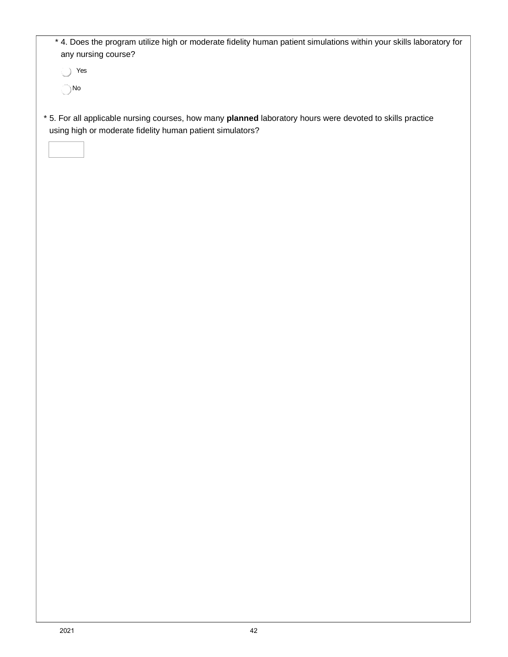| * 4. Does the program utilize high or moderate fidelity human patient simulations within your skills laboratory for<br>any nursing course?                              |
|-------------------------------------------------------------------------------------------------------------------------------------------------------------------------|
| Yes<br>$\left( \ \right)$                                                                                                                                               |
| $\bigcirc$ No                                                                                                                                                           |
|                                                                                                                                                                         |
| * 5. For all applicable nursing courses, how many planned laboratory hours were devoted to skills practice<br>using high or moderate fidelity human patient simulators? |
|                                                                                                                                                                         |
|                                                                                                                                                                         |
|                                                                                                                                                                         |
|                                                                                                                                                                         |
|                                                                                                                                                                         |
|                                                                                                                                                                         |
|                                                                                                                                                                         |
|                                                                                                                                                                         |
|                                                                                                                                                                         |
|                                                                                                                                                                         |
|                                                                                                                                                                         |
|                                                                                                                                                                         |
|                                                                                                                                                                         |
|                                                                                                                                                                         |
|                                                                                                                                                                         |
|                                                                                                                                                                         |
|                                                                                                                                                                         |
|                                                                                                                                                                         |
|                                                                                                                                                                         |
|                                                                                                                                                                         |
|                                                                                                                                                                         |
|                                                                                                                                                                         |
|                                                                                                                                                                         |
|                                                                                                                                                                         |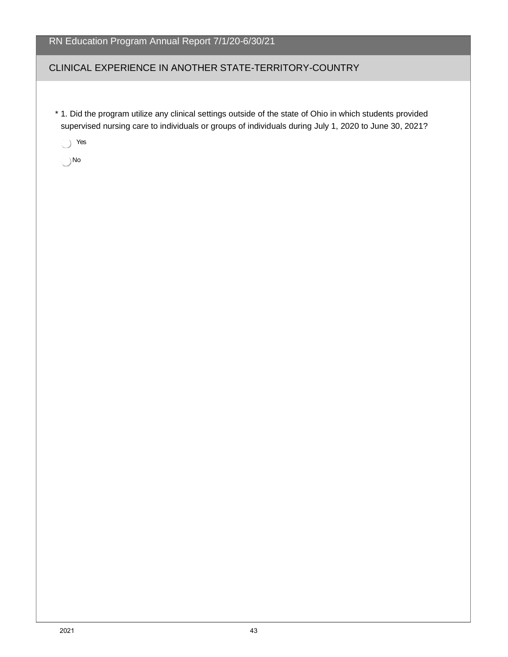# CLINICAL EXPERIENCE IN ANOTHER STATE-TERRITORY-COUNTRY

\* 1. Did the program utilize any clinical settings outside of the state of Ohio in which students provided supervised nursing care to individuals or groups of individuals during July 1, 2020 to June 30, 2021?

Yes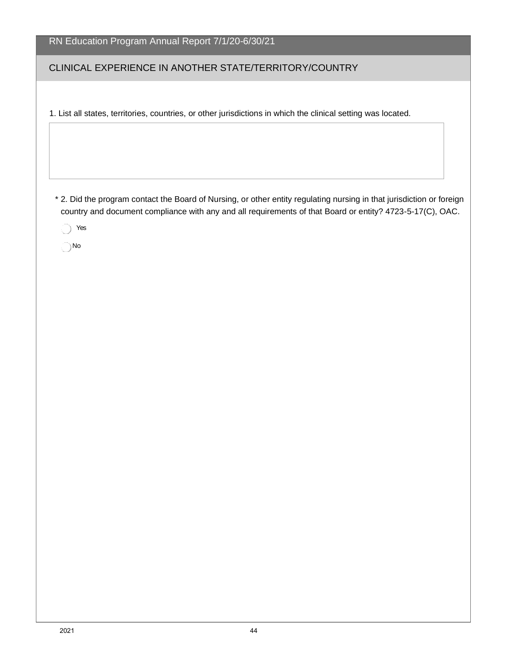|  |  | RN Education Program Annual Report 7/1/20-6/30/21 |
|--|--|---------------------------------------------------|
|  |  |                                                   |

#### CLINICAL EXPERIENCE IN ANOTHER STATE/TERRITORY/COUNTRY

1. List all states, territories, countries, or other jurisdictions in which the clinical setting was located.

\* 2. Did the program contact the Board of Nursing, or other entity regulating nursing in that jurisdiction or foreign country and document compliance with any and all requirements of that Board or entity? 4723-5-17(C), OAC.

◯ Yes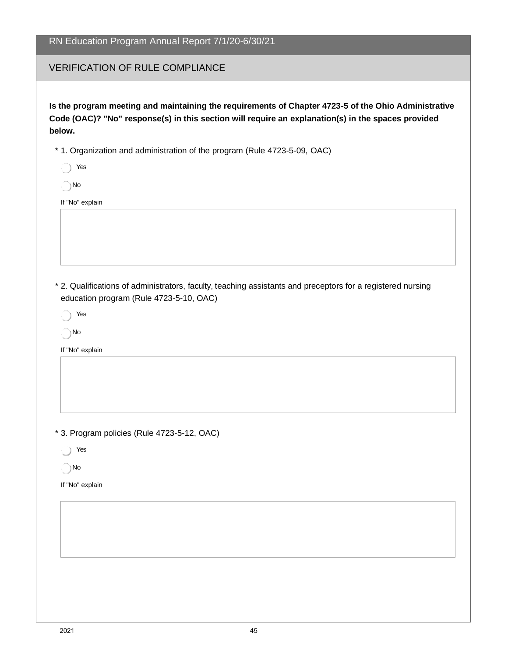#### VERIFICATION OF RULE COMPLIANCE

**Is the program meeting and maintaining the requirements of Chapter 4723-5 of the Ohio Administrative Code (OAC)? "No" response(s) in this section will require an explanation(s) in the spaces provided below.**

- \* 1. Organization and administration of the program (Rule 4723-5-09, OAC)
	- Yes

No

If "No" explain

- \* 2. Qualifications of administrators, faculty, teaching assistants and preceptors for a registered nursing education program (Rule 4723-5-10, OAC)
	- ◯ Yes

No

If "No" explain

- \* 3. Program policies (Rule 4723-5-12, OAC)
	- Yes
	- No
- If "No" explain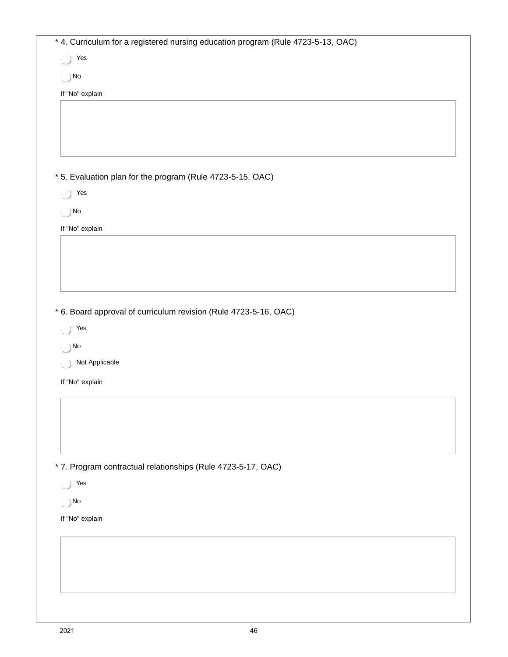| Yes<br>$\bigcirc$                                                     |                                                                  |  |  |
|-----------------------------------------------------------------------|------------------------------------------------------------------|--|--|
| $\bigcirc$ No                                                         |                                                                  |  |  |
| If "No" explain                                                       |                                                                  |  |  |
|                                                                       |                                                                  |  |  |
|                                                                       |                                                                  |  |  |
|                                                                       |                                                                  |  |  |
|                                                                       |                                                                  |  |  |
|                                                                       | * 5. Evaluation plan for the program (Rule 4723-5-15, OAC)       |  |  |
| $\bigcirc$ Yes                                                        |                                                                  |  |  |
| $\bigcirc$ No                                                         |                                                                  |  |  |
| If "No" explain                                                       |                                                                  |  |  |
|                                                                       |                                                                  |  |  |
|                                                                       |                                                                  |  |  |
|                                                                       |                                                                  |  |  |
|                                                                       |                                                                  |  |  |
|                                                                       |                                                                  |  |  |
|                                                                       |                                                                  |  |  |
|                                                                       | * 6. Board approval of curriculum revision (Rule 4723-5-16, OAC) |  |  |
|                                                                       |                                                                  |  |  |
| $\bigcap$ No                                                          |                                                                  |  |  |
| Not Applicable                                                        |                                                                  |  |  |
|                                                                       |                                                                  |  |  |
|                                                                       |                                                                  |  |  |
|                                                                       |                                                                  |  |  |
|                                                                       |                                                                  |  |  |
|                                                                       |                                                                  |  |  |
|                                                                       |                                                                  |  |  |
|                                                                       | * 7. Program contractual relationships (Rule 4723-5-17, OAC)     |  |  |
|                                                                       |                                                                  |  |  |
| ◯ Yes                                                                 |                                                                  |  |  |
|                                                                       |                                                                  |  |  |
|                                                                       |                                                                  |  |  |
|                                                                       |                                                                  |  |  |
| $\bigcirc$ Yes<br>If "No" explain<br>$\bigcirc$ No<br>If "No" explain |                                                                  |  |  |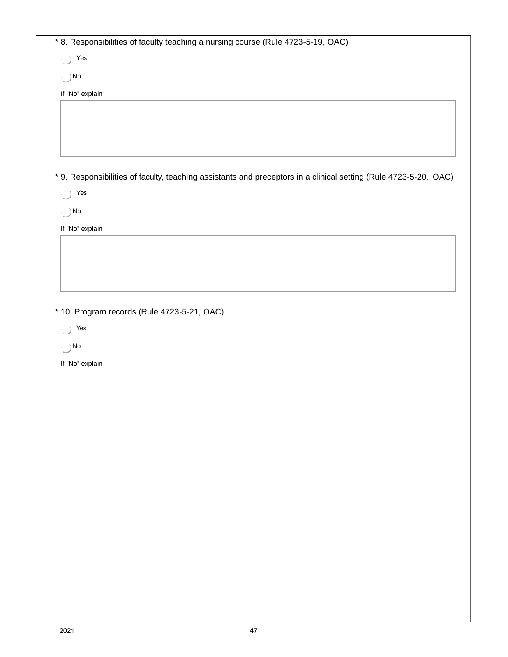| * 8. Responsibilities of faculty teaching a nursing course (Rule 4723-5-19, OAC)<br>$\bigcirc$ Yes |                                                                                                                  |  |  |  |
|----------------------------------------------------------------------------------------------------|------------------------------------------------------------------------------------------------------------------|--|--|--|
| $\bigcirc$ No                                                                                      |                                                                                                                  |  |  |  |
|                                                                                                    |                                                                                                                  |  |  |  |
| If "No" explain                                                                                    |                                                                                                                  |  |  |  |
|                                                                                                    |                                                                                                                  |  |  |  |
|                                                                                                    |                                                                                                                  |  |  |  |
|                                                                                                    |                                                                                                                  |  |  |  |
|                                                                                                    |                                                                                                                  |  |  |  |
|                                                                                                    | * 9. Responsibilities of faculty, teaching assistants and preceptors in a clinical setting (Rule 4723-5-20, OAC) |  |  |  |
| $\bigcirc$<br>Yes                                                                                  |                                                                                                                  |  |  |  |
| $\bigcirc$ No                                                                                      |                                                                                                                  |  |  |  |
|                                                                                                    |                                                                                                                  |  |  |  |
| If "No" explain                                                                                    |                                                                                                                  |  |  |  |
|                                                                                                    |                                                                                                                  |  |  |  |
|                                                                                                    |                                                                                                                  |  |  |  |
|                                                                                                    |                                                                                                                  |  |  |  |
|                                                                                                    |                                                                                                                  |  |  |  |
|                                                                                                    | * 10. Program records (Rule 4723-5-21, OAC)                                                                      |  |  |  |
| res<br>$\bigcirc$ No                                                                               |                                                                                                                  |  |  |  |
| If "No" explain                                                                                    |                                                                                                                  |  |  |  |
|                                                                                                    |                                                                                                                  |  |  |  |
|                                                                                                    |                                                                                                                  |  |  |  |
|                                                                                                    |                                                                                                                  |  |  |  |
|                                                                                                    |                                                                                                                  |  |  |  |
|                                                                                                    |                                                                                                                  |  |  |  |
|                                                                                                    |                                                                                                                  |  |  |  |
|                                                                                                    |                                                                                                                  |  |  |  |
|                                                                                                    |                                                                                                                  |  |  |  |
|                                                                                                    |                                                                                                                  |  |  |  |
|                                                                                                    |                                                                                                                  |  |  |  |
|                                                                                                    |                                                                                                                  |  |  |  |
|                                                                                                    |                                                                                                                  |  |  |  |
|                                                                                                    |                                                                                                                  |  |  |  |
|                                                                                                    |                                                                                                                  |  |  |  |
|                                                                                                    |                                                                                                                  |  |  |  |
|                                                                                                    |                                                                                                                  |  |  |  |